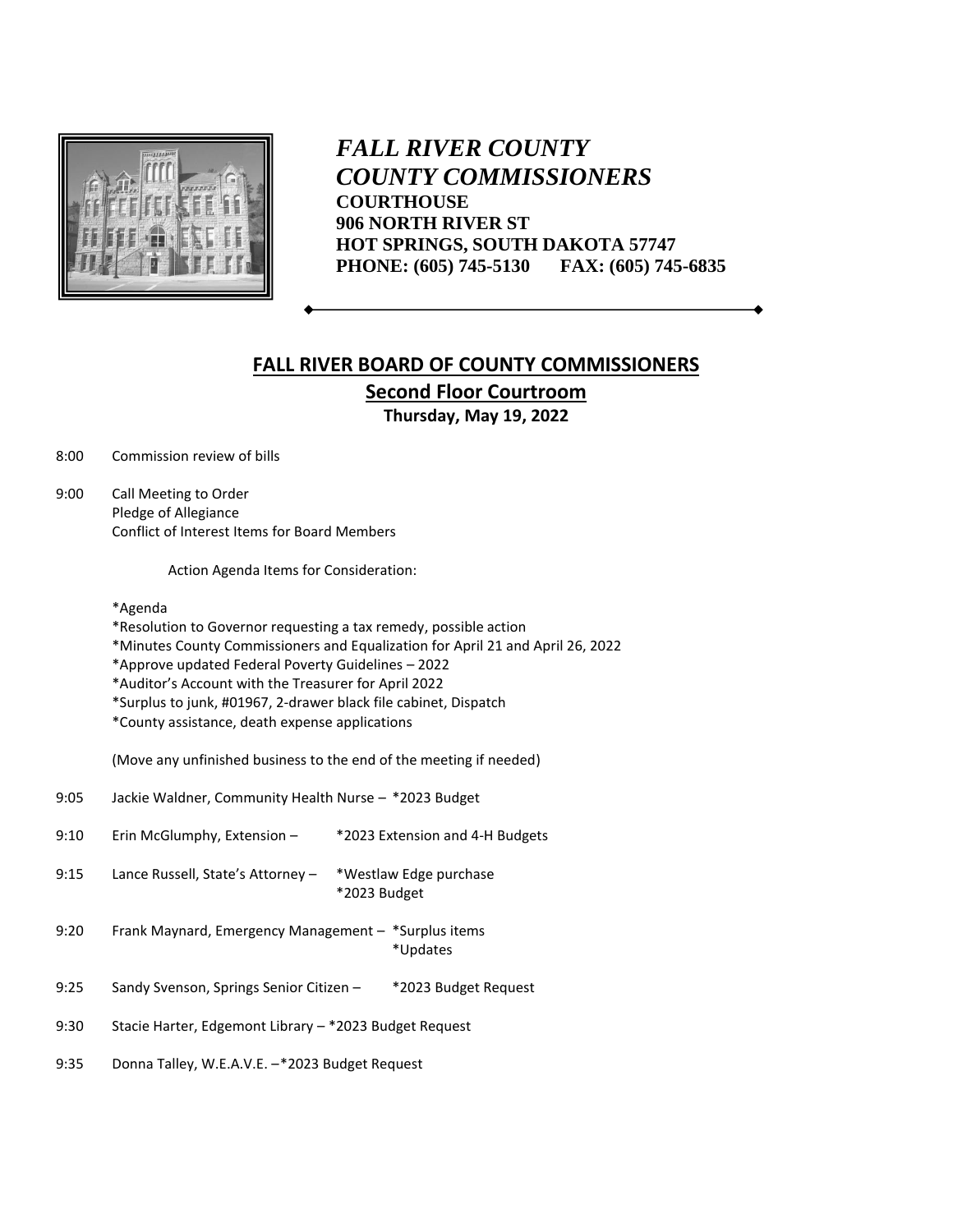

*FALL RIVER COUNTY COUNTY COMMISSIONERS* **COURTHOUSE 906 NORTH RIVER ST HOT SPRINGS, SOUTH DAKOTA 57747 PHONE: (605) 745-5130 FAX: (605) 745-6835**

## **FALL RIVER BOARD OF COUNTY COMMISSIONERS Second Floor Courtroom Thursday, May 19, 2022**

8:00 Commission review of bills

9:00 Call Meeting to Order Pledge of Allegiance Conflict of Interest Items for Board Members

Action Agenda Items for Consideration:

\*Agenda

\*Resolution to Governor requesting a tax remedy, possible action

\*Minutes County Commissioners and Equalization for April 21 and April 26, 2022

\*Approve updated Federal Poverty Guidelines – 2022

\*Auditor's Account with the Treasurer for April 2022

\*Surplus to junk, #01967, 2-drawer black file cabinet, Dispatch

\*County assistance, death expense applications

(Move any unfinished business to the end of the meeting if needed)

- 9:05 Jackie Waldner, Community Health Nurse \*2023 Budget
- 9:10 Erin McGlumphy, Extension \*2023 Extension and 4-H Budgets
- 9:15 Lance Russell, State's Attorney \*Westlaw Edge purchase \*2023 Budget
- 9:20 Frank Maynard, Emergency Management \*Surplus items \*Updates
- 9:25 Sandy Svenson, Springs Senior Citizen \*2023 Budget Request
- 9:30 Stacie Harter, Edgemont Library \*2023 Budget Request

9:35 Donna Talley, W.E.A.V.E. –\*2023 Budget Request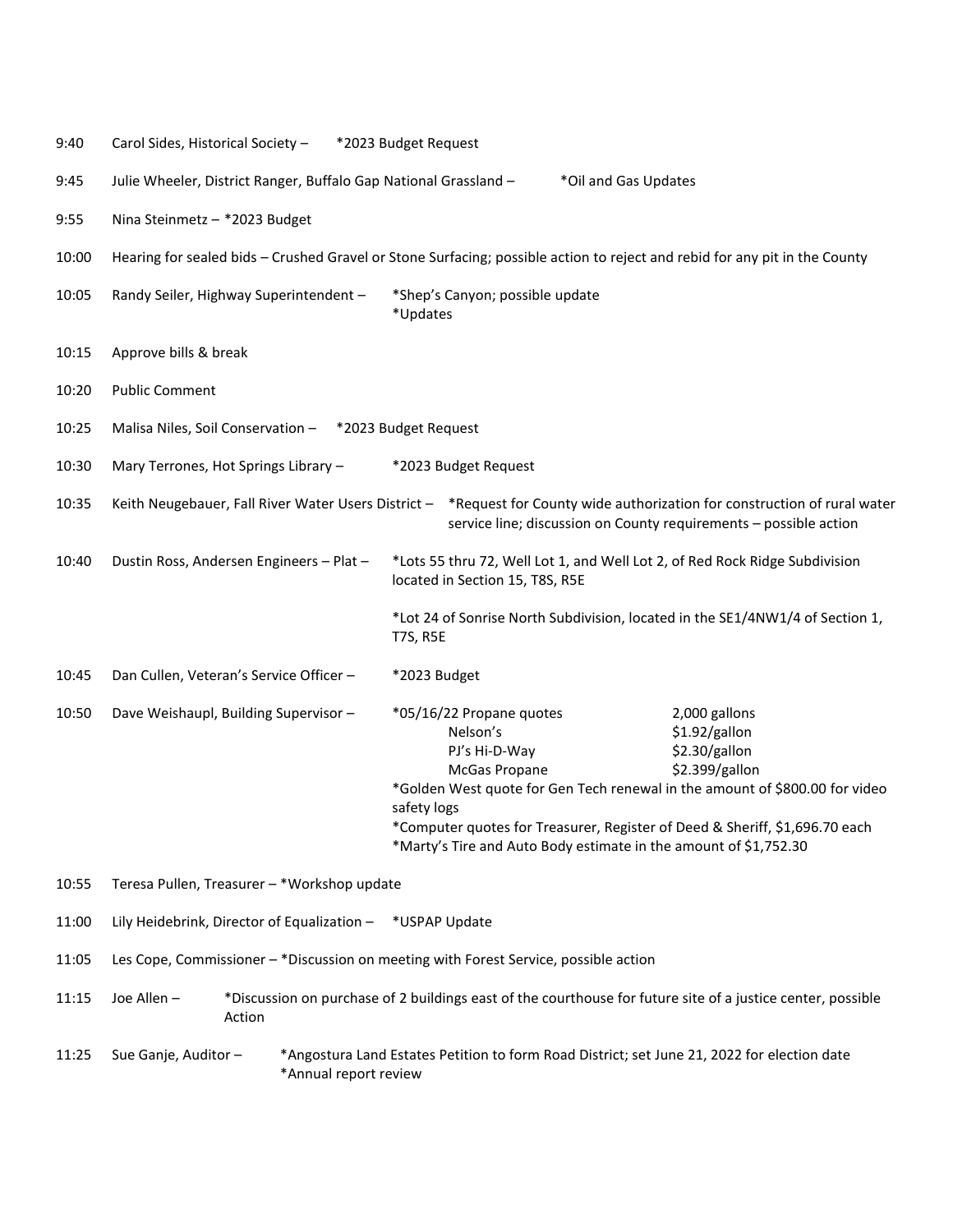| 9:40  | Carol Sides, Historical Society -<br>*2023 Budget Request                                                                                                                                       |  |                                                                                                                                                                                                                                                                                                                         |                                                                                                  |                                                                   |  |  |
|-------|-------------------------------------------------------------------------------------------------------------------------------------------------------------------------------------------------|--|-------------------------------------------------------------------------------------------------------------------------------------------------------------------------------------------------------------------------------------------------------------------------------------------------------------------------|--------------------------------------------------------------------------------------------------|-------------------------------------------------------------------|--|--|
| 9:45  | Julie Wheeler, District Ranger, Buffalo Gap National Grassland -<br>*Oil and Gas Updates                                                                                                        |  |                                                                                                                                                                                                                                                                                                                         |                                                                                                  |                                                                   |  |  |
| 9:55  | Nina Steinmetz - *2023 Budget                                                                                                                                                                   |  |                                                                                                                                                                                                                                                                                                                         |                                                                                                  |                                                                   |  |  |
| 10:00 | Hearing for sealed bids - Crushed Gravel or Stone Surfacing; possible action to reject and rebid for any pit in the County                                                                      |  |                                                                                                                                                                                                                                                                                                                         |                                                                                                  |                                                                   |  |  |
| 10:05 | Randy Seiler, Highway Superintendent -<br>*Shep's Canyon; possible update<br>*Updates                                                                                                           |  |                                                                                                                                                                                                                                                                                                                         |                                                                                                  |                                                                   |  |  |
| 10:15 | Approve bills & break                                                                                                                                                                           |  |                                                                                                                                                                                                                                                                                                                         |                                                                                                  |                                                                   |  |  |
| 10:20 | <b>Public Comment</b>                                                                                                                                                                           |  |                                                                                                                                                                                                                                                                                                                         |                                                                                                  |                                                                   |  |  |
| 10:25 | Malisa Niles, Soil Conservation - *2023 Budget Request                                                                                                                                          |  |                                                                                                                                                                                                                                                                                                                         |                                                                                                  |                                                                   |  |  |
| 10:30 | Mary Terrones, Hot Springs Library -<br>*2023 Budget Request                                                                                                                                    |  |                                                                                                                                                                                                                                                                                                                         |                                                                                                  |                                                                   |  |  |
| 10:35 | Keith Neugebauer, Fall River Water Users District - *Request for County wide authorization for construction of rural water<br>service line; discussion on County requirements - possible action |  |                                                                                                                                                                                                                                                                                                                         |                                                                                                  |                                                                   |  |  |
| 10:40 | *Lots 55 thru 72, Well Lot 1, and Well Lot 2, of Red Rock Ridge Subdivision<br>Dustin Ross, Andersen Engineers - Plat -<br>located in Section 15, T8S, R5E                                      |  |                                                                                                                                                                                                                                                                                                                         |                                                                                                  |                                                                   |  |  |
|       |                                                                                                                                                                                                 |  |                                                                                                                                                                                                                                                                                                                         | *Lot 24 of Sonrise North Subdivision, located in the SE1/4NW1/4 of Section 1,<br><b>T7S, R5E</b> |                                                                   |  |  |
| 10:45 | Dan Cullen, Veteran's Service Officer -                                                                                                                                                         |  |                                                                                                                                                                                                                                                                                                                         | *2023 Budget                                                                                     |                                                                   |  |  |
| 10:50 | Dave Weishaupl, Building Supervisor -                                                                                                                                                           |  | *05/16/22 Propane quotes<br>Nelson's<br>PJ's Hi-D-Way<br>McGas Propane<br>*Golden West quote for Gen Tech renewal in the amount of \$800.00 for video<br>safety logs<br>*Computer quotes for Treasurer, Register of Deed & Sheriff, \$1,696.70 each<br>*Marty's Tire and Auto Body estimate in the amount of \$1,752.30 |                                                                                                  | 2,000 gallons<br>\$1.92/gallon<br>\$2.30/gallon<br>\$2.399/gallon |  |  |
| 10:55 | Teresa Pullen, Treasurer - *Workshop update                                                                                                                                                     |  |                                                                                                                                                                                                                                                                                                                         |                                                                                                  |                                                                   |  |  |
| 11:00 | Lily Heidebrink, Director of Equalization -<br>*USPAP Update                                                                                                                                    |  |                                                                                                                                                                                                                                                                                                                         |                                                                                                  |                                                                   |  |  |
| 11:05 | Les Cope, Commissioner - *Discussion on meeting with Forest Service, possible action                                                                                                            |  |                                                                                                                                                                                                                                                                                                                         |                                                                                                  |                                                                   |  |  |
| 11:15 | *Discussion on purchase of 2 buildings east of the courthouse for future site of a justice center, possible<br>Joe Allen -<br>Action                                                            |  |                                                                                                                                                                                                                                                                                                                         |                                                                                                  |                                                                   |  |  |
| 11:25 | *Angostura Land Estates Petition to form Road District; set June 21, 2022 for election date<br>Sue Ganje, Auditor -<br>*Annual report review                                                    |  |                                                                                                                                                                                                                                                                                                                         |                                                                                                  |                                                                   |  |  |